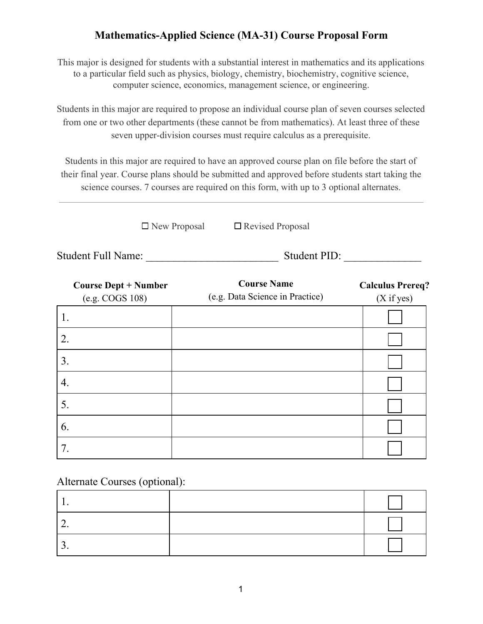## **Mathematics-Applied Science (MA-31) Course Proposal Form**

This major is designed for students with a substantial interest in mathematics and its applications to a particular field such as physics, biology, chemistry, biochemistry, cognitive science, computer science, economics, management science, or engineering.

Students in this major are required to propose an individual course plan of seven courses selected from one or two other departments (these cannot be from mathematics). At least three of these seven upper-division courses must require calculus as a prerequisite.

Students in this major are required to have an approved course plan on file before the start of their final year. Course plans should be submitted and approved before students start taking the science courses. 7 courses are required on this form, with up to 3 optional alternates.

 $\square$  New Proposal  $\square$  Revised Proposal

Student Full Name: \_\_\_\_\_\_\_\_\_\_\_\_\_\_\_\_\_\_\_\_\_\_\_\_ Student PID: \_\_\_\_\_\_\_\_\_\_\_\_\_\_

| <b>Course Dept + Number</b><br>(e.g. COGS 108) | <b>Course Name</b><br>(e.g. Data Science in Practice) | <b>Calculus Prereq?</b><br>(X if yes) |
|------------------------------------------------|-------------------------------------------------------|---------------------------------------|
| 1.                                             |                                                       |                                       |
| 2.                                             |                                                       |                                       |
| 3.                                             |                                                       |                                       |
| 4.                                             |                                                       |                                       |
| 5.                                             |                                                       |                                       |
| 6.                                             |                                                       |                                       |
|                                                |                                                       |                                       |

Alternate Courses (optional):